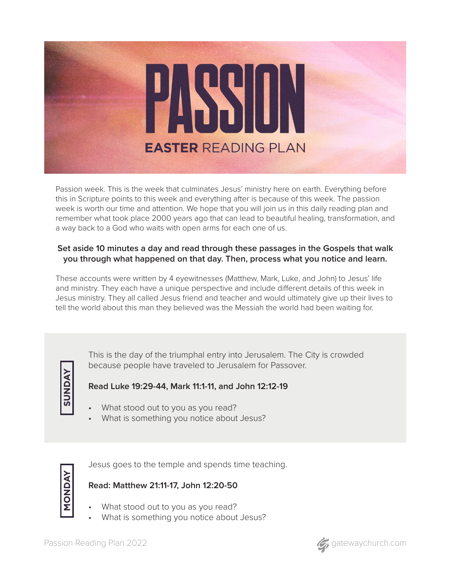

Passion week. This is the week that culminates Jesus' ministry here on earth. Everything before this in Scripture points to this week and everything after is because of this week. The passion week is worth our time and attention. We hope that you will join us in this daily reading plan and remember what took place 2000 years ago that can lead to beautiful healing, transformation, and a way back to a God who waits with open arms for each one of us.

#### **Set aside 10 minutes a day and read through these passages in the Gospels that walk you through what happened on that day. Then, process what you notice and learn.**

These accounts were written by 4 eyewitnesses (Matthew, Mark, Luke, and John) to Jesus' life and ministry. They each have a unique perspective and include different details of this week in Jesus ministry. They all called Jesus friend and teacher and would ultimately give up their lives to tell the world about this man they believed was the Messiah the world had been waiting for.

**SUNDAY**

This is the day of the triumphal entry into Jerusalem. The City is crowded because people have traveled to Jerusalem for Passover.

# **Read Luke 19:29-44, Mark 11:1-11, and John 12:12-19**

- What stood out to you as you read?
- What is something you notice about Jesus?



Jesus goes to the temple and spends time teaching.

# **Read: Matthew 21:11-17, John 12:20-50**

- What stood out to you as you read?
- What is something you notice about Jesus?

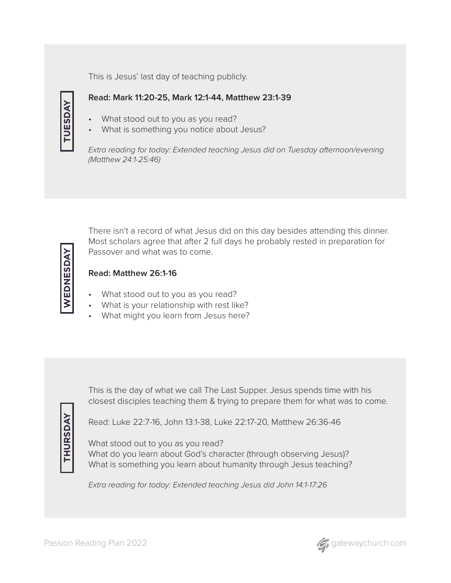This is Jesus' last day of teaching publicly.

# **Read: Mark 11:20-25, Mark 12:1-44, Matthew 23:1-39**

- What stood out to you as you read?
- What is something you notice about Jesus?

*Extra reading for today: Extended teaching Jesus did on Tuesday afternoon/evening (Matthew 24:1-25:46)*

WEDNESDAY **WEDNESDAY**

There isn't a record of what Jesus did on this day besides attending this dinner. Most scholars agree that after 2 full days he probably rested in preparation for Passover and what was to come.

#### **Read: Matthew 26:1-16**

- What stood out to you as you read?
- What is your relationship with rest like?
- What might you learn from Jesus here?

**THURSDAY**THURSDAY This is the day of what we call The Last Supper. Jesus spends time with his closest disciples teaching them & trying to prepare them for what was to come.

Read: Luke 22:7-16, John 13:1-38, Luke 22:17-20, Matthew 26:36-46

What stood out to you as you read? What do you learn about God's character (through observing Jesus)? What is something you learn about humanity through Jesus teaching?

*Extra reading for today: Extended teaching Jesus did John 14:1-17:26*